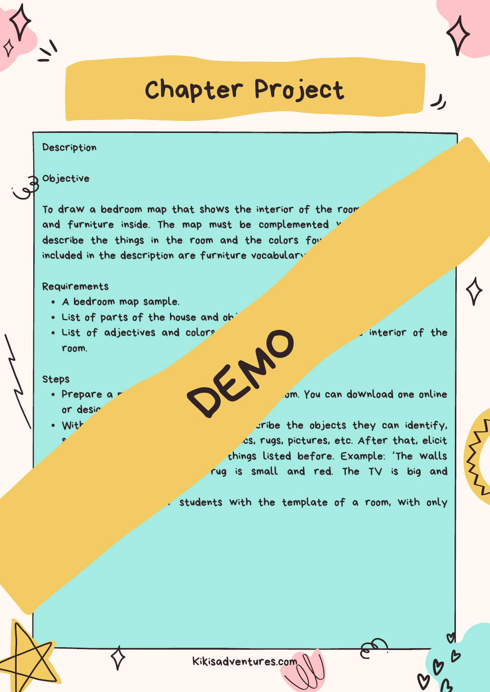## Chapter Project

#### Description

Objective

To draw a bedroom map that shows the interior of the room and furniture inside. The map must be complemented w describe the things in the room and the colors fou included in the description are furniture vocabulary

#### Requirements

- A bedroom map sample.
- . List of parts of the house and ob
- . List of adjectives and colors to describe what interior of the room. DER NO

#### Steps

- or design
- 

• Prepare a material contract the interior of a room. You can download one online

With the help objects they can identify, es, rugs, pictures, etc. After that, elicit adjectives and colors for the things listed before. Example: 'The walls rug is small and red. The TV is big and

students with the template of a room, with only

Kikisadventures.com